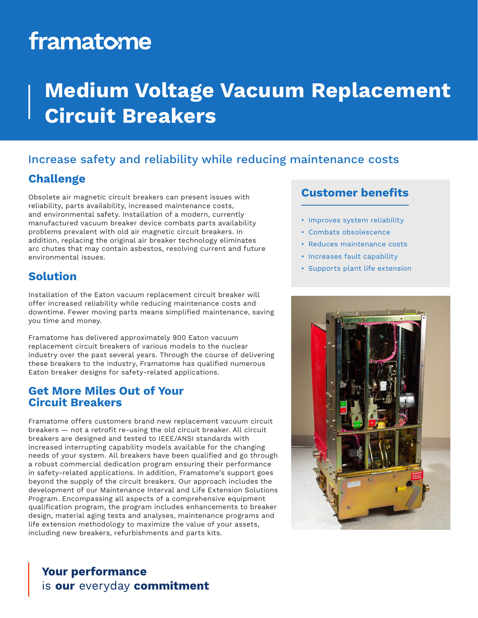# framatome

# **Medium Voltage Vacuum Replacement Circuit Breakers**

# Increase safety and reliability while reducing maintenance costs

## **Challenge**

Obsolete air magnetic circuit breakers can present issues with reliability, parts availability, increased maintenance costs, and environmental safety. Installation of a modern, currently manufactured vacuum breaker device combats parts availability problems prevalent with old air magnetic circuit breakers. In addition, replacing the original air breaker technology eliminates arc chutes that may contain asbestos, resolving current and future environmental issues.

# **Solution**

Installation of the Eaton vacuum replacement circuit breaker will offer increased reliability while reducing maintenance costs and downtime. Fewer moving parts means simplified maintenance, saving you time and money.

Framatome has delivered approximately 900 Eaton vacuum replacement circuit breakers of various models to the nuclear industry over the past several years. Through the course of delivering these breakers to the industry, Framatome has qualified numerous Eaton breaker designs for safety-related applications.

#### **Get More Miles Out of Your Circuit Breakers**

Framatome offers customers brand new replacement vacuum circuit breakers — not a retrofit re-using the old circuit breaker. All circuit breakers are designed and tested to IEEE/ANSI standards with increased interrupting capability models available for the changing needs of your system. All breakers have been qualified and go through a robust commercial dedication program ensuring their performance in safety-related applications. In addition, Framatome's support goes beyond the supply of the circuit breakers. Our approach includes the development of our Maintenance Interval and Life Extension Solutions Program. Encompassing all aspects of a comprehensive equipment qualification program, the program includes enhancements to breaker design, material aging tests and analyses, maintenance programs and life extension methodology to maximize the value of your assets, including new breakers, refurbishments and parts kits.

# **Customer benefits**

- Improves system reliability
- Combats obsolescence
- Reduces maintenance costs
- Increases fault capability
- Supports plant life extension



# **Your performance** is our everyday commitment